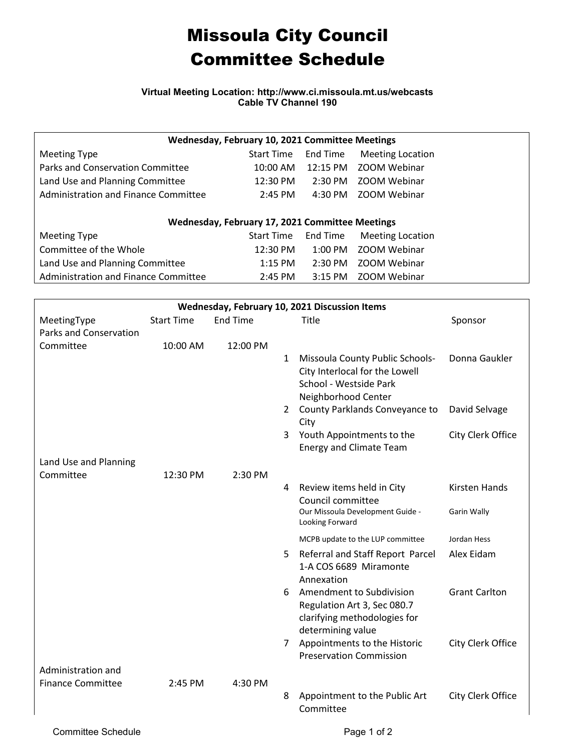## Missoula City Council Committee Schedule

**Virtual Meeting Location: http://www.ci.missoula.mt.us/webcasts Cable TV Channel 190**

| Wednesday, February 10, 2021 Committee Meetings |                   |           |                         |  |  |  |  |  |
|-------------------------------------------------|-------------------|-----------|-------------------------|--|--|--|--|--|
| Meeting Type                                    | <b>Start Time</b> | End Time  | <b>Meeting Location</b> |  |  |  |  |  |
| Parks and Conservation Committee                | $10:00$ AM        | 12:15 PM  | <b>ZOOM Webinar</b>     |  |  |  |  |  |
| Land Use and Planning Committee                 | 12:30 PM          | $2:30$ PM | ZOOM Webinar            |  |  |  |  |  |
| Administration and Finance Committee            | $2:45$ PM         | 4:30 PM   | <b>ZOOM Webinar</b>     |  |  |  |  |  |
|                                                 |                   |           |                         |  |  |  |  |  |
| Wednesday, February 17, 2021 Committee Meetings |                   |           |                         |  |  |  |  |  |
| <b>Meeting Type</b>                             | <b>Start Time</b> | End Time  | <b>Meeting Location</b> |  |  |  |  |  |
| Committee of the Whole                          | 12:30 PM          | $1:00$ PM | <b>ZOOM Webinar</b>     |  |  |  |  |  |
| Land Use and Planning Committee                 | $1:15$ PM         | $2:30$ PM | <b>ZOOM Webinar</b>     |  |  |  |  |  |
| Administration and Finance Committee            | $2:45$ PM         | 3:15 PM   | ZOOM Webinar            |  |  |  |  |  |

| Wednesday, February 10, 2021 Discussion Items |                   |                 |                |                                                                                                                    |                      |  |  |  |
|-----------------------------------------------|-------------------|-----------------|----------------|--------------------------------------------------------------------------------------------------------------------|----------------------|--|--|--|
| MeetingType                                   | <b>Start Time</b> | <b>End Time</b> |                | Title                                                                                                              | Sponsor              |  |  |  |
| Parks and Conservation                        |                   |                 |                |                                                                                                                    |                      |  |  |  |
| Committee                                     | 10:00 AM          | 12:00 PM        |                |                                                                                                                    |                      |  |  |  |
|                                               |                   |                 | $\mathbf{1}$   | Missoula County Public Schools-<br>City Interlocal for the Lowell<br>School - Westside Park<br>Neighborhood Center | Donna Gaukler        |  |  |  |
|                                               |                   |                 | 2              | County Parklands Conveyance to<br>City                                                                             | David Selvage        |  |  |  |
|                                               |                   |                 | 3              | Youth Appointments to the<br><b>Energy and Climate Team</b>                                                        | City Clerk Office    |  |  |  |
| Land Use and Planning                         |                   |                 |                |                                                                                                                    |                      |  |  |  |
| Committee                                     | 12:30 PM          | 2:30 PM         |                |                                                                                                                    |                      |  |  |  |
|                                               |                   |                 | 4              | Review items held in City<br>Council committee                                                                     | <b>Kirsten Hands</b> |  |  |  |
|                                               |                   |                 |                | Our Missoula Development Guide -<br>Looking Forward                                                                | Garin Wally          |  |  |  |
|                                               |                   |                 |                | MCPB update to the LUP committee                                                                                   | Jordan Hess          |  |  |  |
|                                               |                   |                 | 5              | Referral and Staff Report Parcel<br>1-A COS 6689 Miramonte<br>Annexation                                           | Alex Eidam           |  |  |  |
|                                               |                   |                 | 6.             | Amendment to Subdivision<br>Regulation Art 3, Sec 080.7<br>clarifying methodologies for<br>determining value       | <b>Grant Carlton</b> |  |  |  |
|                                               |                   |                 | $\overline{7}$ | Appointments to the Historic                                                                                       | City Clerk Office    |  |  |  |
|                                               |                   |                 |                | <b>Preservation Commission</b>                                                                                     |                      |  |  |  |
| Administration and                            |                   |                 |                |                                                                                                                    |                      |  |  |  |
| <b>Finance Committee</b>                      | 2:45 PM           | 4:30 PM         |                |                                                                                                                    |                      |  |  |  |
|                                               |                   |                 | 8              | Appointment to the Public Art<br>Committee                                                                         | City Clerk Office    |  |  |  |
|                                               |                   |                 |                |                                                                                                                    |                      |  |  |  |